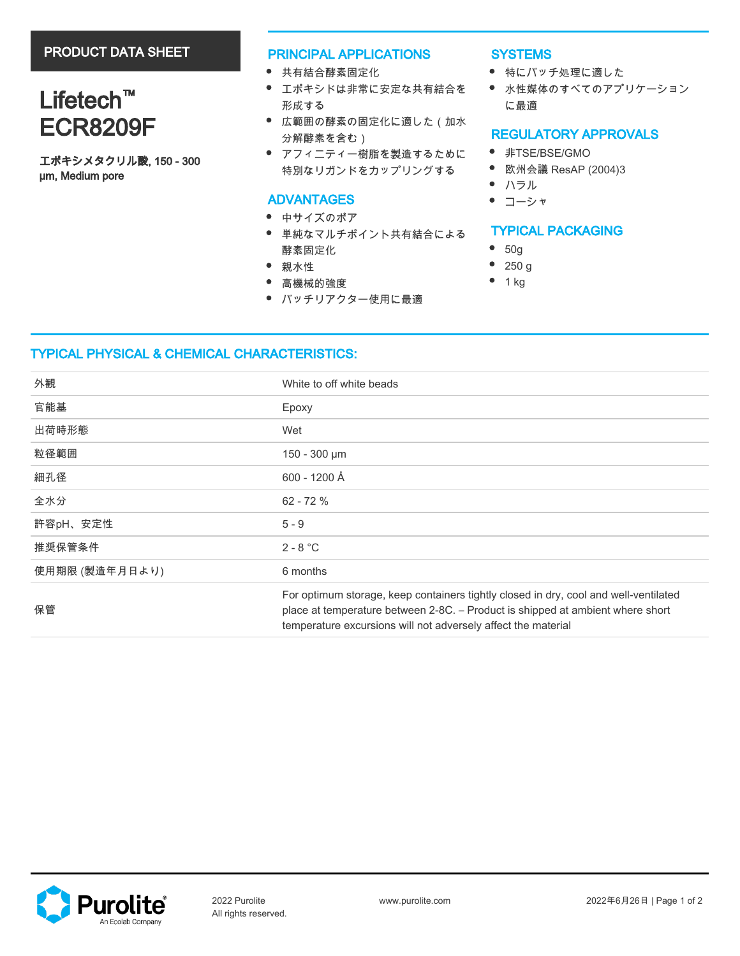# PRODUCT DATA SHEET

# Lifetech<sup>™</sup> ECR8209F

エポキシメタクリル酸, 150 - 300 µm, Medium pore

#### PRINCIPAL APPLICATIONS

- 共有結合酵素固定化
- エポキシドは非常に安定な共有結合を 形成する
- 広範囲の酵素の固定化に適した(加水 分解酵素を含む)
- アフィニティー樹脂を製造するために 特別なリガンドをカップリングする

### ADVANTAGES

- 中サイズのポア
- 単純なマルチポイント共有結合による 酵素固定化
- 親水性
- 高機械的強度
- バッチリアクター使用に最適

#### **SYSTEMS**

- 特にバッチ処理に適した
- 水性媒体のすべてのアプリケーション に最適

# REGULATORY APPROVALS

- 非TSE/BSE/GMO
- 欧州会議 ResAP (2004)3
- ハラル
- コーシャ

## TYPICAL PACKAGING

- 50g
- $\bullet$ 250 g
- $\bullet$ 1 kg

## TYPICAL PHYSICAL & CHEMICAL CHARACTERISTICS:

| 外観             | White to off white beads                                                                                                                                                                                                                |
|----------------|-----------------------------------------------------------------------------------------------------------------------------------------------------------------------------------------------------------------------------------------|
| 官能基            | Epoxy                                                                                                                                                                                                                                   |
| 出荷時形態          | Wet                                                                                                                                                                                                                                     |
| 粒径範囲           | 150 - 300 µm                                                                                                                                                                                                                            |
| 細孔径            | 600 - 1200 Å                                                                                                                                                                                                                            |
| 全水分            | $62 - 72%$                                                                                                                                                                                                                              |
| 許容pH、安定性       | $5 - 9$                                                                                                                                                                                                                                 |
| 推奨保管条件         | $2 - 8 °C$                                                                                                                                                                                                                              |
| 使用期限 (製造年月日より) | 6 months                                                                                                                                                                                                                                |
| 保管             | For optimum storage, keep containers tightly closed in dry, cool and well-ventilated<br>place at temperature between 2-8C. - Product is shipped at ambient where short<br>temperature excursions will not adversely affect the material |